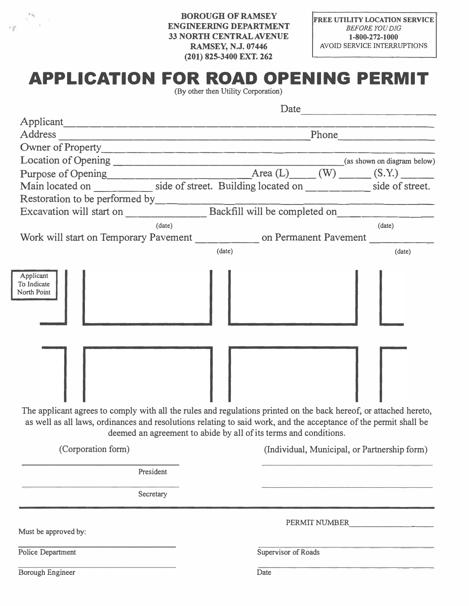**BOROUGH OF RAMSEY ENGINEERING DEPARTMENT 33NORfflCENTRALAVENUE RAMSEY, N.J. 07446 (201) 825-3400 EXT. 262**

 $\label{eq:3.1} \frac{1}{\sqrt{2}}e^{-\frac{1}{2}\left(\frac{\sqrt{2}+\sqrt{2}}{2}\right)}\leq 1.$ 

|                                                                                                                                                                                                                                                      |                     |  | Date                                         |
|------------------------------------------------------------------------------------------------------------------------------------------------------------------------------------------------------------------------------------------------------|---------------------|--|----------------------------------------------|
| Applicant                                                                                                                                                                                                                                            |                     |  |                                              |
|                                                                                                                                                                                                                                                      |                     |  |                                              |
|                                                                                                                                                                                                                                                      |                     |  |                                              |
|                                                                                                                                                                                                                                                      |                     |  |                                              |
|                                                                                                                                                                                                                                                      |                     |  |                                              |
|                                                                                                                                                                                                                                                      |                     |  |                                              |
|                                                                                                                                                                                                                                                      |                     |  |                                              |
| Excavation will start on Backfill will be completed on                                                                                                                                                                                               |                     |  |                                              |
| (date)                                                                                                                                                                                                                                               |                     |  | (date)                                       |
| Work will start on Temporary Pavement ___________ on Permanent Pavement ________                                                                                                                                                                     |                     |  |                                              |
|                                                                                                                                                                                                                                                      | (date)              |  | (data)                                       |
| North Point<br>The applicant agrees to comply with all the rules and regulations printed on the back hereof, or attached hereto,<br>as well as all laws, ordinances and resolutions relating to said work, and the acceptance of the permit shall be |                     |  |                                              |
| deemed an agreement to abide by all of its terms and conditions.                                                                                                                                                                                     |                     |  |                                              |
| (Corporation form)                                                                                                                                                                                                                                   |                     |  | (Individual, Municipal, or Partnership form) |
| President                                                                                                                                                                                                                                            |                     |  |                                              |
| Secretary                                                                                                                                                                                                                                            |                     |  |                                              |
|                                                                                                                                                                                                                                                      |                     |  | PERMIT NUMBER                                |
| Must be approved by:                                                                                                                                                                                                                                 |                     |  |                                              |
|                                                                                                                                                                                                                                                      |                     |  |                                              |
| Police Department                                                                                                                                                                                                                                    | Supervisor of Roads |  |                                              |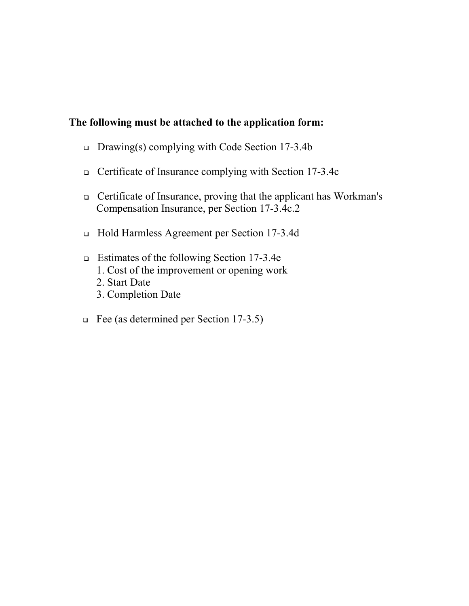## **The following must be attached to the application form:**

- Drawing(s) complying with Code Section 17-3.4b
- Certificate of Insurance complying with Section 17-3.4c
- Certificate of Insurance, proving that the applicant has Workman's Compensation Insurance, per Section 17-3.4c.2
- Hold Harmless Agreement per Section 17-3.4d
- Estimates of the following Section 17-3.4e
	- 1. Cost of the improvement or opening work
	- 2. Start Date
	- 3. Completion Date
- Fee (as determined per Section 17-3.5)